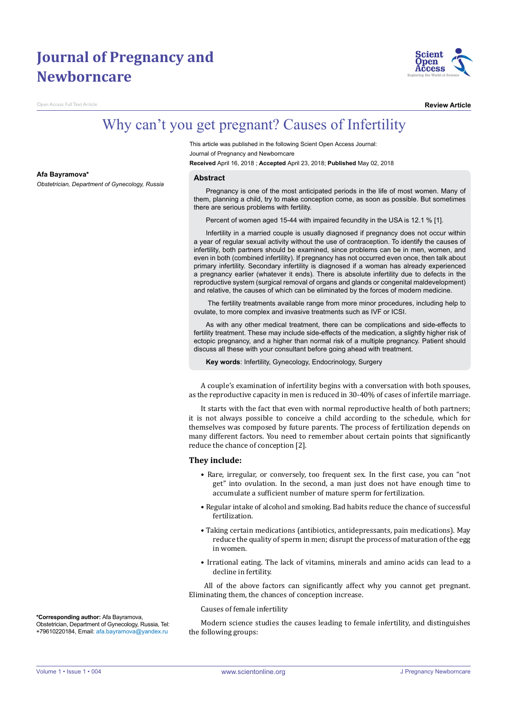# **Journal of Pregnancy and Newborncare**

n Access Full Text Article



**Review Article**

# Why can't you get pregnant? Causes of Infertility

This article was published in the following Scient Open Access Journal: Journal of Pregnancy and Newborncare **Received** April 16, 2018 ; **Accepted** April 23, 2018; **Published** May 02, 2018

#### **Abstract**

Pregnancy is one of the most anticipated periods in the life of most women. Many of them, planning a child, try to make conception come, as soon as possible. But sometimes there are serious problems with fertility.

Percent of women aged 15-44 with impaired fecundity in the USA is 12.1 % [1].

Infertility in a married couple is usually diagnosed if pregnancy does not occur within a year of regular sexual activity without the use of contraception. To identify the causes of infertility, both partners should be examined, since problems can be in men, women, and even in both (combined infertility). If pregnancy has not occurred even once, then talk about primary infertility. Secondary infertility is diagnosed if a woman has already experienced a pregnancy earlier (whatever it ends). There is absolute infertility due to defects in the reproductive system (surgical removal of organs and glands or congenital maldevelopment) and relative, the causes of which can be eliminated by the forces of modern medicine.

 The fertility treatments available range from more minor procedures, including help to ovulate, to more complex and invasive treatments such as IVF or ICSI.

As with any other medical treatment, there can be complications and side-effects to fertility treatment. These may include side-effects of the medication, a slightly higher risk of ectopic pregnancy, and a higher than normal risk of a multiple pregnancy. Patient should discuss all these with your consultant before going ahead with treatment.

**Key words**: Infertility, Gynecology, Endocrinology, Surgery

A couple's examination of infertility begins with a conversation with both spouses, as the reproductive capacity in men is reduced in 30-40% of cases of infertile marriage.

It starts with the fact that even with normal reproductive health of both partners; it is not always possible to conceive a child according to the schedule, which for themselves was composed by future parents. The process of fertilization depends on many different factors. You need to remember about certain points that significantly reduce the chance of conception [2].

### **They include:**

- Rare, irregular, or conversely, too frequent sex. In the first case, you can "not get" into ovulation. In the second, a man just does not have enough time to accumulate a sufficient number of mature sperm for fertilization.
- Regular intake of alcohol and smoking. Bad habits reduce the chance of successful fertilization.
- Taking certain medications (antibiotics, antidepressants, pain medications). May reduce the quality of sperm in men; disrupt the process of maturation of the egg in women.
- Irrational eating. The lack of vitamins, minerals and amino acids can lead to a decline in fertility.

All of the above factors can significantly affect why you cannot get pregnant. Eliminating them, the chances of conception increase.

Causes of female infertility

Modern science studies the causes leading to female infertility, and distinguishes the following groups:

**Afa Bayramova\***

*Obstetrician, Department of Gynecology, Russia*

**\*Corresponding author:** Afa Bayramova, Obstetrician, Department of Gynecology, Russia, Tel: +79610220184, Email: afa.bayramova@yandex.ru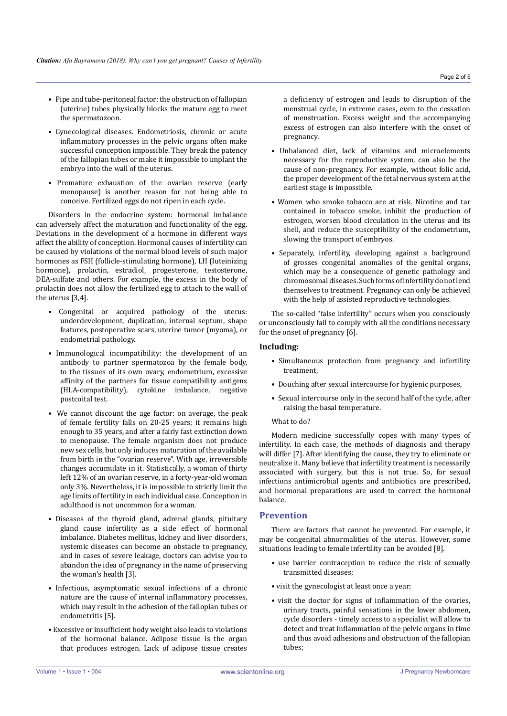- Pipe and tube-peritoneal factor: the obstruction of fallopian (uterine) tubes physically blocks the mature egg to meet the spermatozoon.
- Gynecological diseases. Endometriosis, chronic or acute inflammatory processes in the pelvic organs often make successful conception impossible. They break the patency of the fallopian tubes or make it impossible to implant the embryo into the wall of the uterus.
- Premature exhaustion of the ovarian reserve (early menopause) is another reason for not being able to conceive. Fertilized eggs do not ripen in each cycle.

Disorders in the endocrine system: hormonal imbalance can adversely affect the maturation and functionality of the egg. Deviations in the development of a hormone in different ways affect the ability of conception. Hormonal causes of infertility can be caused by violations of the normal blood levels of such major hormones as FSH (follicle-stimulating hormone), LH (luteinizing hormone), prolactin, estradiol, progesterone, testosterone, DEA-sulfate and others. For example, the excess in the body of prolactin does not allow the fertilized egg to attach to the wall of the uterus [3,4].

- Congenital or acquired pathology of the uterus: underdevelopment, duplication, internal septum, shape features, postoperative scars, uterine tumor (myoma), or endometrial pathology.
- Immunological incompatibility: the development of an antibody to partner spermatozoa by the female body, to the tissues of its own ovary, endometrium, excessive affinity of the partners for tissue compatibility antigens (HLA-compatibility), cytokine imbalance, negative postcoital test.
- We cannot discount the age factor: on average, the peak of female fertility falls on 20-25 years; it remains high enough to 35 years, and after a fairly fast extinction down to menopause. The female organism does not produce new sex cells, but only induces maturation of the available from birth in the "ovarian reserve". With age, irreversible changes accumulate in it. Statistically, a woman of thirty left 12% of an ovarian reserve, in a forty-year-old woman only 3%. Nevertheless, it is impossible to strictly limit the age limits of fertility in each individual case. Conception in adulthood is not uncommon for a woman.
- Diseases of the thyroid gland, adrenal glands, pituitary gland cause infertility as a side effect of hormonal imbalance. Diabetes mellitus, kidney and liver disorders, systemic diseases can become an obstacle to pregnancy, and in cases of severe leakage, doctors can advise you to abandon the idea of pregnancy in the name of preserving the woman's health [3].
- Infectious, asymptomatic sexual infections of a chronic nature are the cause of internal inflammatory processes, which may result in the adhesion of the fallopian tubes or endometritis [5].
- Excessive or insufficient body weight also leads to violations of the hormonal balance. Adipose tissue is the organ that produces estrogen. Lack of adipose tissue creates

a deficiency of estrogen and leads to disruption of the menstrual cycle, in extreme cases, even to the cessation of menstruation. Excess weight and the accompanying excess of estrogen can also interfere with the onset of pregnancy.

- Unbalanced diet, lack of vitamins and microelements necessary for the reproductive system, can also be the cause of non-pregnancy. For example, without folic acid, the proper development of the fetal nervous system at the earliest stage is impossible.
- Women who smoke tobacco are at risk. Nicotine and tar contained in tobacco smoke, inhibit the production of estrogen, worsen blood circulation in the uterus and its shell, and reduce the susceptibility of the endometrium, slowing the transport of embryos.
- Separately, infertility, developing against a background of grosses congenital anomalies of the genital organs, which may be a consequence of genetic pathology and chromosomal diseases. Such forms of infertility do not lend themselves to treatment. Pregnancy can only be achieved with the help of assisted reproductive technologies.

The so-called "false infertility" occurs when you consciously or unconsciously fail to comply with all the conditions necessary for the onset of pregnancy [6].

## **Including:**

- Simultaneous protection from pregnancy and infertility treatment,
- Douching after sexual intercourse for hygienic purposes,
- Sexual intercourse only in the second half of the cycle, after raising the basal temperature.

### What to do?

Modern medicine successfully copes with many types of infertility. In each case, the methods of diagnosis and therapy will differ [7]. After identifying the cause, they try to eliminate or neutralize it. Many believe that infertility treatment is necessarily associated with surgery, but this is not true. So, for sexual infections antimicrobial agents and antibiotics are prescribed, and hormonal preparations are used to correct the hormonal balance.

## **Prevention**

There are factors that cannot be prevented. For example, it may be congenital abnormalities of the uterus. However, some situations leading to female infertility can be avoided [8].

- use barrier contraception to reduce the risk of sexually transmitted diseases;
- visit the gynecologist at least once a year;
- visit the doctor for signs of inflammation of the ovaries, urinary tracts, painful sensations in the lower abdomen, cycle disorders - timely access to a specialist will allow to detect and treat inflammation of the pelvic organs in time and thus avoid adhesions and obstruction of the fallopian tubes;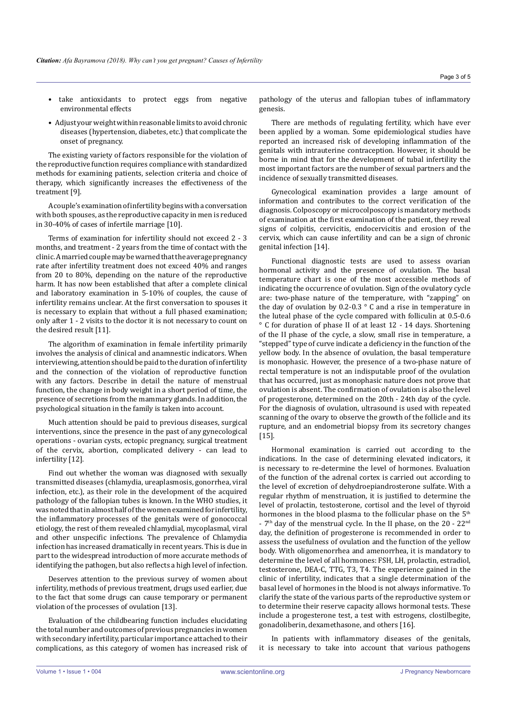- take antioxidants to protect eggs from negative environmental effects
- Adjust your weight within reasonable limits to avoid chronic diseases (hypertension, diabetes, etc.) that complicate the onset of pregnancy.

The existing variety of factors responsible for the violation of the reproductive function requires compliance with standardized methods for examining patients, selection criteria and choice of therapy, which significantly increases the effectiveness of the treatment [9].

A couple's examination of infertility begins with a conversation with both spouses, as the reproductive capacity in men is reduced in 30-40% of cases of infertile marriage [10].

Terms of examination for infertility should not exceed 2 - 3 months, and treatment - 2 years from the time of contact with the clinic. A married couple may be warned that the average pregnancy rate after infertility treatment does not exceed 40% and ranges from 20 to 80%, depending on the nature of the reproductive harm. It has now been established that after a complete clinical and laboratory examination in 5-10% of couples, the cause of infertility remains unclear. At the first conversation to spouses it is necessary to explain that without a full phased examination; only after 1 - 2 visits to the doctor it is not necessary to count on the desired result [11].

The algorithm of examination in female infertility primarily involves the analysis of clinical and anamnestic indicators. When interviewing, attention should be paid to the duration of infertility and the connection of the violation of reproductive function with any factors. Describe in detail the nature of menstrual function, the change in body weight in a short period of time, the presence of secretions from the mammary glands. In addition, the psychological situation in the family is taken into account.

Much attention should be paid to previous diseases, surgical interventions, since the presence in the past of any gynecological operations - ovarian cysts, ectopic pregnancy, surgical treatment of the cervix, abortion, complicated delivery - can lead to infertility [12].

Find out whether the woman was diagnosed with sexually transmitted diseases (chlamydia, ureaplasmosis, gonorrhea, viral infection, etc.), as their role in the development of the acquired pathology of the fallopian tubes is known. In the WHO studies, it was noted that in almost half of the women examined for infertility, the inflammatory processes of the genitals were of gonococcal etiology, the rest of them revealed chlamydial, mycoplasmal, viral and other unspecific infections. The prevalence of Chlamydia infection has increased dramatically in recent years. This is due in part to the widespread introduction of more accurate methods of identifying the pathogen, but also reflects a high level of infection.

Deserves attention to the previous survey of women about infertility, methods of previous treatment, drugs used earlier, due to the fact that some drugs can cause temporary or permanent violation of the processes of ovulation [13].

Evaluation of the childbearing function includes elucidating the total number and outcomes of previous pregnancies in women with secondary infertility, particular importance attached to their complications, as this category of women has increased risk of

pathology of the uterus and fallopian tubes of inflammatory genesis.

There are methods of regulating fertility, which have ever been applied by a woman. Some epidemiological studies have reported an increased risk of developing inflammation of the genitals with intrauterine contraception. However, it should be borne in mind that for the development of tubal infertility the most important factors are the number of sexual partners and the incidence of sexually transmitted diseases.

Gynecological examination provides a large amount of information and contributes to the correct verification of the diagnosis. Colposcopy or microcolposcopy is mandatory methods of examination at the first examination of the patient, they reveal signs of colpitis, cervicitis, endocervicitis and erosion of the cervix, which can cause infertility and can be a sign of chronic genital infection [14].

Functional diagnostic tests are used to assess ovarian hormonal activity and the presence of ovulation. The basal temperature chart is one of the most accessible methods of indicating the occurrence of ovulation. Sign of the ovulatory cycle are: two-phase nature of the temperature, with "zapping" on the day of ovulation by 0.2-0.3 ° C and a rise in temperature in the luteal phase of the cycle compared with folliculin at 0.5-0.6 ° C for duration of phase II of at least 12 - 14 days. Shortening of the II phase of the cycle, a slow, small rise in temperature, a "stepped" type of curve indicate a deficiency in the function of the yellow body. In the absence of ovulation, the basal temperature is monophasic. However, the presence of a two-phase nature of rectal temperature is not an indisputable proof of the ovulation that has occurred, just as monophasic nature does not prove that ovulation is absent. The confirmation of ovulation is also the level of progesterone, determined on the 20th - 24th day of the cycle. For the diagnosis of ovulation, ultrasound is used with repeated scanning of the ovary to observe the growth of the follicle and its rupture, and an endometrial biopsy from its secretory changes [15].

Hormonal examination is carried out according to the indications. In the case of determining elevated indicators, it is necessary to re-determine the level of hormones. Evaluation of the function of the adrenal cortex is carried out according to the level of excretion of dehydroepiandrosterone sulfate. With a regular rhythm of menstruation, it is justified to determine the level of prolactin, testosterone, cortisol and the level of thyroid hormones in the blood plasma to the follicular phase on the 5<sup>th</sup> - 7<sup>th</sup> day of the menstrual cycle. In the II phase, on the 20 - 22<sup>nd</sup> day, the definition of progesterone is recommended in order to assess the usefulness of ovulation and the function of the yellow body. With oligomenorrhea and amenorrhea, it is mandatory to determine the level of all hormones: FSH, LH, prolactin, estradiol, testosterone, DEA-C, TTG, T3, T4. The experience gained in the clinic of infertility, indicates that a single determination of the basal level of hormones in the blood is not always informative. To clarify the state of the various parts of the reproductive system or to determine their reserve capacity allows hormonal tests. These include a progesterone test, a test with estrogens, clostilbegite, gonadoliberin, dexamethasone, and others [16].

In patients with inflammatory diseases of the genitals, it is necessary to take into account that various pathogens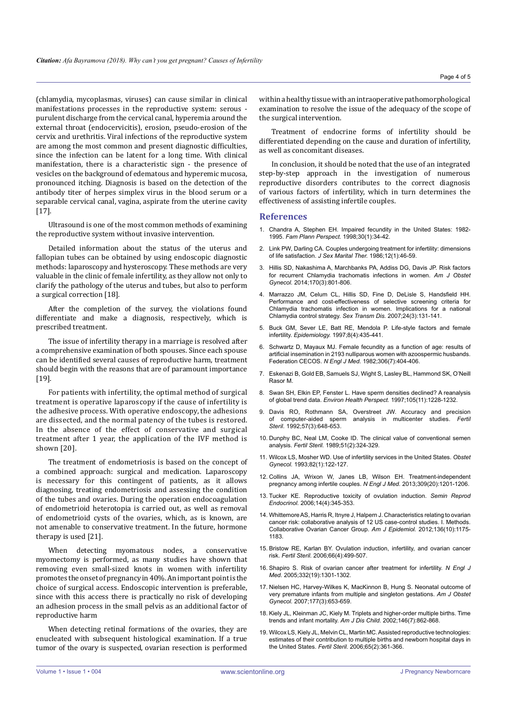(chlamydia, mycoplasmas, viruses) can cause similar in clinical manifestations processes in the reproductive system: serous purulent discharge from the cervical canal, hyperemia around the external throat (endocervicitis), erosion, pseudo-erosion of the cervix and urethritis. Viral infections of the reproductive system are among the most common and present diagnostic difficulties, since the infection can be latent for a long time. With clinical manifestation, there is a characteristic sign - the presence of vesicles on the background of edematous and hyperemic mucosa, pronounced itching. Diagnosis is based on the detection of the antibody titer of herpes simplex virus in the blood serum or a separable cervical canal, vagina, aspirate from the uterine cavity [17].

Ultrasound is one of the most common methods of examining the reproductive system without invasive intervention.

Detailed information about the status of the uterus and fallopian tubes can be obtained by using endoscopic diagnostic methods: laparoscopy and hysteroscopy. These methods are very valuable in the clinic of female infertility, as they allow not only to clarify the pathology of the uterus and tubes, but also to perform a surgical correction [18].

After the completion of the survey, the violations found differentiate and make a diagnosis, respectively, which is prescribed treatment.

The issue of infertility therapy in a marriage is resolved after a comprehensive examination of both spouses. Since each spouse can be identified several causes of reproductive harm, treatment should begin with the reasons that are of paramount importance [19].

For patients with infertility, the optimal method of surgical treatment is operative laparoscopy if the cause of infertility is the adhesive process. With operative endoscopy, the adhesions are dissected, and the normal patency of the tubes is restored. In the absence of the effect of conservative and surgical treatment after 1 year, the application of the IVF method is shown [20].

The treatment of endometriosis is based on the concept of a combined approach: surgical and medication. Laparoscopy is necessary for this contingent of patients, as it allows diagnosing, treating endometriosis and assessing the condition of the tubes and ovaries. During the operation endocoagulation of endometrioid heterotopia is carried out, as well as removal of endometrioid cysts of the ovaries, which, as is known, are not amenable to conservative treatment. In the future, hormone therapy is used [21].

When detecting myomatous nodes, a conservative myomectomy is performed, as many studies have shown that removing even small-sized knots in women with infertility promotes the onset of pregnancy in 40%. An important point is the choice of surgical access. Endoscopic intervention is preferable, since with this access there is practically no risk of developing an adhesion process in the small pelvis as an additional factor of reproductive harm

When detecting retinal formations of the ovaries, they are enucleated with subsequent histological examination. If a true tumor of the ovary is suspected, ovarian resection is performed Page 4 of 5

examination to resolve the issue of the adequacy of the scope of the surgical intervention.

Treatment of endocrine forms of infertility should be differentiated depending on the cause and duration of infertility, as well as concomitant diseases.

In conclusion, it should be noted that the use of an integrated step-by-step approach in the investigation of numerous reproductive disorders contributes to the correct diagnosis of various factors of infertility, which in turn determines the effectiveness of assisting infertile couples.

## **References**

- 1. [Chandra A, Stephen EH. Impaired fecundity in the United States: 1982-](https://www.ncbi.nlm.nih.gov/pubmed/9494814) 1995. *[Fam Plann Perspect.](https://www.ncbi.nlm.nih.gov/pubmed/9494814)* 1998;30(1):34-42.
- 2. [Link PW, Darling CA. Couples undergoing treatment for infertility: dimensions](https://www.tandfonline.com/doi/abs/10.1080/00926238608415393)  of life satisfaction. *[J Sex Marital Ther.](https://www.tandfonline.com/doi/abs/10.1080/00926238608415393)* 1986;12(1):46-59.
- 3. [Hillis SD, Nakashima A, Marchbanks PA, Addiss DG, Davis JP. Risk factors](https://www.ncbi.nlm.nih.gov/pubmed/8141205)  [for recurrent Chlamydia trachomatis infections in women.](https://www.ncbi.nlm.nih.gov/pubmed/8141205) *Am J Obstet Gynecol.* [2014;170\(3\):801-806.](https://www.ncbi.nlm.nih.gov/pubmed/8141205)
- 4. [Marrazzo JM, Celum CL, Hillis SD, Fine D, DeLisle S, Handsfield HH.](https://www.ncbi.nlm.nih.gov/pubmed/9132979)  [Performance and cost-effectiveness of selective screening criteria for](https://www.ncbi.nlm.nih.gov/pubmed/9132979)  [Chlamydia trachomatis infection in women. Implications for a national](https://www.ncbi.nlm.nih.gov/pubmed/9132979)  [Chlamydia control strategy.](https://www.ncbi.nlm.nih.gov/pubmed/9132979) *Sex Transm Dis.* 2007;24(3):131-141.
- 5. [Buck GM, Sever LE, Batt RE, Mendola P. Life-style factors and female](https://www.ncbi.nlm.nih.gov/pubmed/9209860)  infertility. *Epidemiology.* [1997;8\(4\):435-441.](https://www.ncbi.nlm.nih.gov/pubmed/9209860)
- 6. [Schwartz D, Mayaux MJ. Female fecundity as a function of age: results of](https://www.ncbi.nlm.nih.gov/pubmed/7057832)  [artificial insemination in 2193 nulliparous women with azoospermic husbands.](https://www.ncbi.nlm.nih.gov/pubmed/7057832)  Federation CECOS. *N Engl J Med.* [1982;306\(7\):404-406.](https://www.ncbi.nlm.nih.gov/pubmed/7057832)
- 7. Eskenazi B, Gold EB, Samuels SJ, Wight S, Lasley BL, Hammond SK, O'Neill Rasor M.
- 8. [Swan SH, Elkin EP, Fenster L. Have sperm densities declined? A reanalysis](https://www.ncbi.nlm.nih.gov/pubmed/9370524)  of global trend data. *Environ Health Perspect.* [1997;105\(11\):1228-1232.](https://www.ncbi.nlm.nih.gov/pubmed/9370524)
- 9. [Davis RO, Rothmann SA, Overstreet JW. Accuracy and precision](https://www.ncbi.nlm.nih.gov/pubmed/1740213)  [of computer-aided sperm analysis in multicenter studies.](https://www.ncbi.nlm.nih.gov/pubmed/1740213) *Fertil Steril.* [1992;57\(3\):648-653.](https://www.ncbi.nlm.nih.gov/pubmed/1740213)
- 10. [Dunphy BC, Neal LM, Cooke ID. The clinical value of conventional semen](https://www.ncbi.nlm.nih.gov/pubmed/2912777)  analysis. *Fertil Steril.* [1989;51\(2\):324-329.](https://www.ncbi.nlm.nih.gov/pubmed/2912777)
- 11. [Wilcox LS, Mosher WD. Use of infertility services in the United States.](https://www.ncbi.nlm.nih.gov/pubmed/8515911) *Obstet Gynecol.* [1993;82\(1\):122-127.](https://www.ncbi.nlm.nih.gov/pubmed/8515911)
- 12. [Collins JA, Wrixon W, Janes LB, Wilson EH. Treatment-independent](https://www.ncbi.nlm.nih.gov/pubmed/6633567)  [pregnancy among infertile couples.](https://www.ncbi.nlm.nih.gov/pubmed/6633567) *N Engl J Med.* 2013;309(20):1201-1206.
- 13. [Tucker KE. Reproductive toxicity of ovulation induction.](https://www.ncbi.nlm.nih.gov/pubmed/8988529) *Semin Reprod Endocrinol.* [2006;14\(4\):345-353.](https://www.ncbi.nlm.nih.gov/pubmed/8988529)
- 14. [Whittemore AS, Harris R, Itnyre J, Halpern J. Characteristics relating to ovarian](https://www.ncbi.nlm.nih.gov/pubmed/1476141)  [cancer risk: collaborative analysis of 12 US case-control studies. I. Methods.](https://www.ncbi.nlm.nih.gov/pubmed/1476141)  [Collaborative Ovarian Cancer Group.](https://www.ncbi.nlm.nih.gov/pubmed/1476141) *Am J Epidemiol.* 2012;136(10):1175- [1183.](https://www.ncbi.nlm.nih.gov/pubmed/1476141)
- 15. [Bristow RE, Karlan BY. Ovulation induction, infertility, and ovarian cancer](https://www.ncbi.nlm.nih.gov/pubmed/8816606)  risk. *Fertil Steril.* [2006;66\(4\):499-507.](https://www.ncbi.nlm.nih.gov/pubmed/8816606)
- 16. Shapiro S. Risk of ovarian cancer after treatment for infertility. *N Engl J Med.* 2005;332(19):1301-1302.
- 17. [Nielsen HC, Harvey-Wilkes K, MacKinnon B, Hung S. Neonatal outcome of](https://www.ncbi.nlm.nih.gov/pubmed/9322638)  [very premature infants from multiple and singleton gestations.](https://www.ncbi.nlm.nih.gov/pubmed/9322638) *Am J Obstet Gynecol.* [2007;177\(3\):653-659.](https://www.ncbi.nlm.nih.gov/pubmed/9322638)
- 18. [Kiely JL, Kleinman JC, Kiely M. Triplets and higher-order multiple births. Time](https://www.ncbi.nlm.nih.gov/pubmed/1496960)  [trends and infant mortality.](https://www.ncbi.nlm.nih.gov/pubmed/1496960) *Am J Dis Child.* 2002;146(7):862-868.
- 19. [Wilcox LS, Kiely JL, Melvin CL, Martin MC. Assisted reproductive technologies:](https://www.ncbi.nlm.nih.gov/pubmed/8566263)  [estimates of their contribution to multiple births and newborn hospital days in](https://www.ncbi.nlm.nih.gov/pubmed/8566263)  the United States. *Fertil Steril.* [2006;65\(2\):361-366.](https://www.ncbi.nlm.nih.gov/pubmed/8566263)